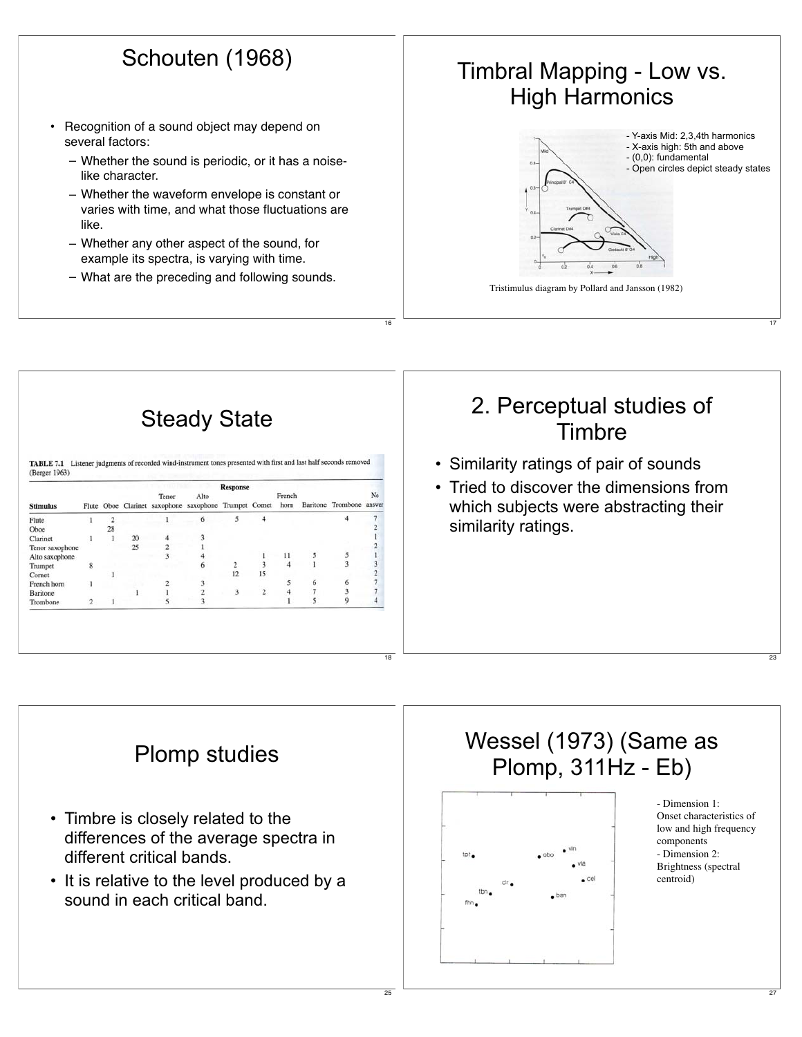## Schouten (1968)

- • Recognition of a sound object may depend on several factors:
	- Whether the sound is periodic, or it has a noiselike character.
	- Whether the waveform envelope is constant or varies with time, and what those fluctuations are like.
	- Whether any other aspect of the sound, for example its spectra, is varying with time.
	- What are the preceding and following sounds.



17

27



16

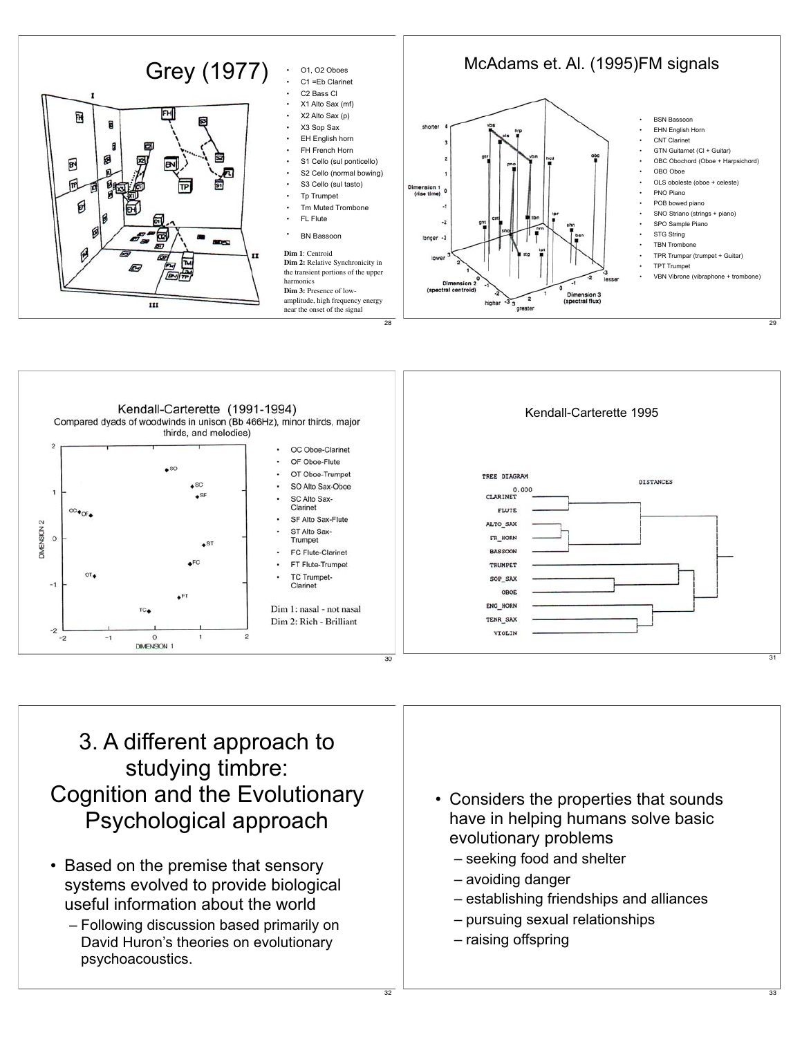



## 3. A different approach to studying timbre: Cognition and the Evolutionary Psychological approach

- Based on the premise that sensory systems evolved to provide biological useful information about the world
	- Following discussion based primarily on David Huron's theories on evolutionary psychoacoustics.
- Considers the properties that sounds have in helping humans solve basic evolutionary problems
	- seeking food and shelter
	- avoiding danger
	- establishing friendships and alliances
	- pursuing sexual relationships
	- raising offspring